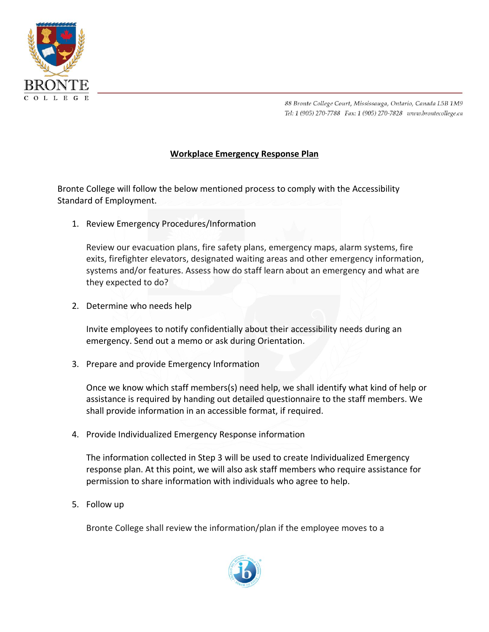

88 Bronte College Court, Mississauga, Ontario, Canada L5B 1M9 Tel: 1 (905) 270-7788 Fax: 1 (905) 270-7828 www.brontecollege.ca

## **Workplace Emergency Response Plan**

Bronte College will follow the below mentioned process to comply with the Accessibility Standard of Employment.

1. Review Emergency Procedures/Information

Review our evacuation plans, fire safety plans, emergency maps, alarm systems, fire exits, firefighter elevators, designated waiting areas and other emergency information, systems and/or features. Assess how do staff learn about an emergency and what are they expected to do?

2. Determine who needs help

Invite employees to notify confidentially about their accessibility needs during an emergency. Send out a memo or ask during Orientation.

3. Prepare and provide Emergency Information

Once we know which staff members(s) need help, we shall identify what kind of help or assistance is required by handing out detailed questionnaire to the staff members. We shall provide information in an accessible format, if required.

4. Provide Individualized Emergency Response information

The information collected in Step 3 will be used to create Individualized Emergency response plan. At this point, we will also ask staff members who require assistance for permission to share information with individuals who agree to help.

5. Follow up

Bronte College shall review the information/plan if the employee moves to a